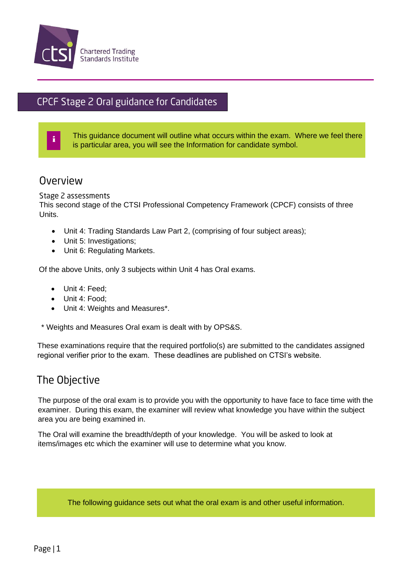

# CPCF Stage 2 Oral guidance for Candidates

This guidance document will outline what occurs within the exam. Where we feel there is particular area, you will see the Information for candidate symbol.

## Overview

i

movement in the contract of the contract of the contract of the contract of the contract of the contract of the

#### Stage 2 assessments

This second stage of the CTSI Professional Competency Framework (CPCF) consists of three Units.

- Unit 4: Trading Standards Law Part 2, (comprising of four subject areas);
- Unit 5: Investigations;
- Unit 6: Regulating Markets.

Of the above Units, only 3 subjects within Unit 4 has Oral exams.

- Unit 4: Feed;
- Unit 4: Food:
- Unit 4: Weights and Measures\*.

\* Weights and Measures Oral exam is dealt with by OPS&S.

These examinations require that the required portfolio(s) are submitted to the candidates assigned regional verifier prior to the exam. These deadlines are published on CTSI's website.

#### The Objective

The purpose of the oral exam is to provide you with the opportunity to have face to face time with the examiner. During this exam, the examiner will review what knowledge you have within the subject area you are being examined in.

The Oral will examine the breadth/depth of your knowledge. You will be asked to look at items/images etc which the examiner will use to determine what you know.

The following guidance sets out what the oral exam is and other useful information.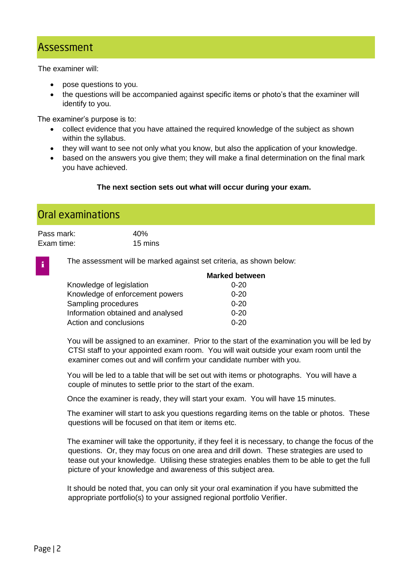## Assessment

The examiner will:

- pose questions to you.
- the questions will be accompanied against specific items or photo's that the examiner will identify to you.

The examiner's purpose is to:

- collect evidence that you have attained the required knowledge of the subject as shown within the syllabus.
- they will want to see not only what you know, but also the application of your knowledge.
- based on the answers you give them; they will make a final determination on the final mark you have achieved.

#### **The next section sets out what will occur during your exam.**

## Oral examinations

i

| Pass mark: | 40 <sub>%</sub> |
|------------|-----------------|
| Exam time: | 15 mins         |

The assessment will be marked against set criteria, as shown below:

|                                   | <b>Marked between</b> |
|-----------------------------------|-----------------------|
| Knowledge of legislation          | $0 - 20$              |
| Knowledge of enforcement powers   | $0 - 20$              |
| Sampling procedures               | $0 - 20$              |
| Information obtained and analysed | $0 - 20$              |
| Action and conclusions            | $0 - 20$              |

You will be assigned to an examiner. Prior to the start of the examination you will be led by CTSI staff to your appointed exam room. You will wait outside your exam room until the examiner comes out and will confirm your candidate number with you.

You will be led to a table that will be set out with items or photographs. You will have a couple of minutes to settle prior to the start of the exam.

Once the examiner is ready, they will start your exam. You will have 15 minutes.

The examiner will start to ask you questions regarding items on the table or photos. These questions will be focused on that item or items etc.

The examiner will take the opportunity, if they feel it is necessary, to change the focus of the questions. Or, they may focus on one area and drill down. These strategies are used to tease out your knowledge. Utilising these strategies enables them to be able to get the full picture of your knowledge and awareness of this subject area.

It should be noted that, you can only sit your oral examination if you have submitted the appropriate portfolio(s) to your assigned regional portfolio Verifier.